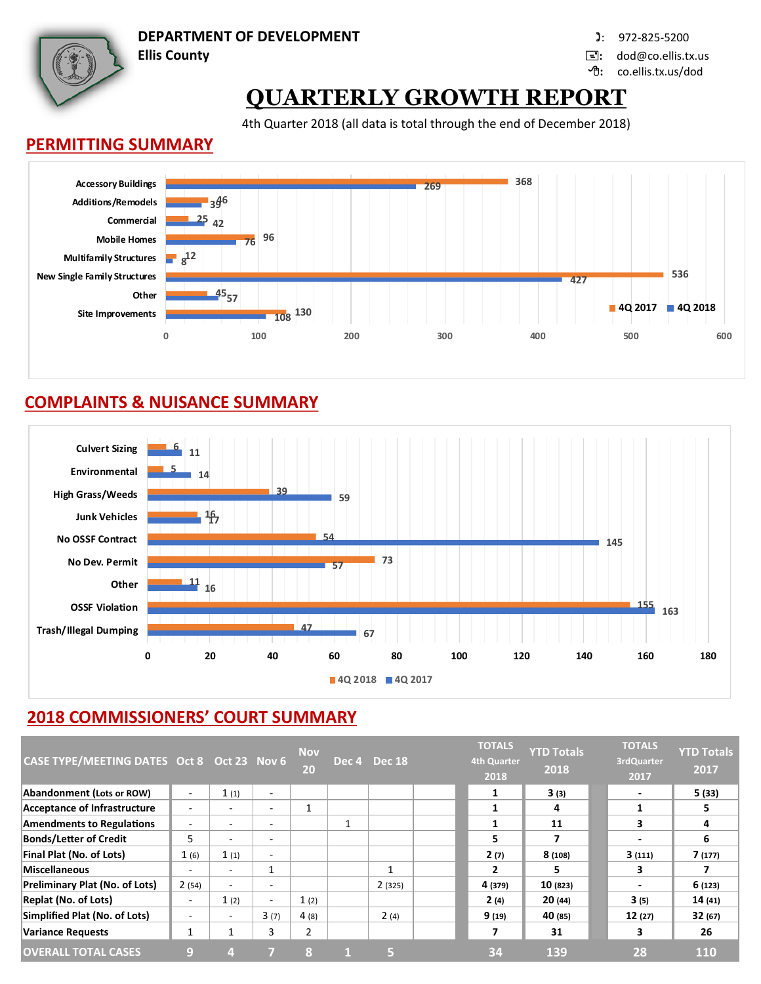**DEPARTMENT OF DEVELOPMENT In the case of the COVID-100 (2001)** 972-825-5200

**Ellis County :** dod@co.ellis.tx.us

**:** co.ellis.tx.us/dod

# **QUARTERLY GROWTH REPORT**

4th Quarter 2018 (all data is total through the end of December 2018)

#### **PERMITTING SUMMARY**



## **COMPLAINTS & NUISANCE SUMMARY**



# **2018 COMMISSIONERS' COURT SUMMARY**

| CASE TYPE/MEETING DATES Oct 8 Oct 23 Nov 6 |                          |                          |                          | <b>Nov</b><br>20 | Dec 4 Dec 18 | <b>TOTALS</b><br><b>4th Quarter</b><br>2018 | <b>YTD Totals</b><br>2018 | <b>TOTALS</b><br>3rdQuarter<br>2017 | <b>YTD Totals</b><br>2017 |
|--------------------------------------------|--------------------------|--------------------------|--------------------------|------------------|--------------|---------------------------------------------|---------------------------|-------------------------------------|---------------------------|
| Abandonment (Lots or ROW)                  | $\overline{\phantom{a}}$ | 1(1)                     | $\overline{\phantom{a}}$ |                  |              | 1                                           | 3(3)                      | ٠                                   | 5 (33)                    |
| Acceptance of Infrastructure               |                          | -                        | $\overline{\phantom{a}}$ |                  |              |                                             | 4                         |                                     | 5                         |
| <b>Amendments to Regulations</b>           |                          |                          | $\overline{\phantom{a}}$ |                  |              | 1                                           | 11                        | 3                                   | 4                         |
| <b>Bonds/Letter of Credit</b>              | 5                        |                          | $\overline{\phantom{a}}$ |                  |              | 5                                           |                           | $\overline{\phantom{a}}$            | 6                         |
| Final Plat (No. of Lots)                   | 1(6)                     | 1(1)                     | ٠                        |                  |              | 2(7)                                        | 8(108)                    | 3(111)                              | 7(177)                    |
| Miscellaneous                              | $\overline{\phantom{0}}$ | $\overline{\phantom{0}}$ | 1                        |                  | 1            | 2                                           | 5.                        | 3                                   |                           |
| Preliminary Plat (No. of Lots)             | 2(54)                    | ٠                        | $\overline{\phantom{a}}$ |                  | 2(325)       | 4 (379)                                     | 10(823)                   | $\overline{\phantom{a}}$            | 6(123)                    |
| <b>Replat (No. of Lots)</b>                | -                        | 1(2)                     | $\overline{\phantom{a}}$ | 1(2)             |              | 2(4)                                        | 20(44)                    | 3(5)                                | 14(41)                    |
| Simplified Plat (No. of Lots)              |                          | $\overline{\phantom{0}}$ | 3(7)                     | 4(8)             | 2(4)         | 9(19)                                       | 40 (85)                   | 12(27)                              | 32(67)                    |
| <b>Variance Requests</b>                   |                          |                          | 3                        | 2                |              |                                             | 31                        | 3                                   | 26                        |
| <b>OVERALL TOTAL CASES</b>                 | O)                       |                          |                          | 8                | 5            | 34                                          | 139                       | 28                                  | <b>110</b>                |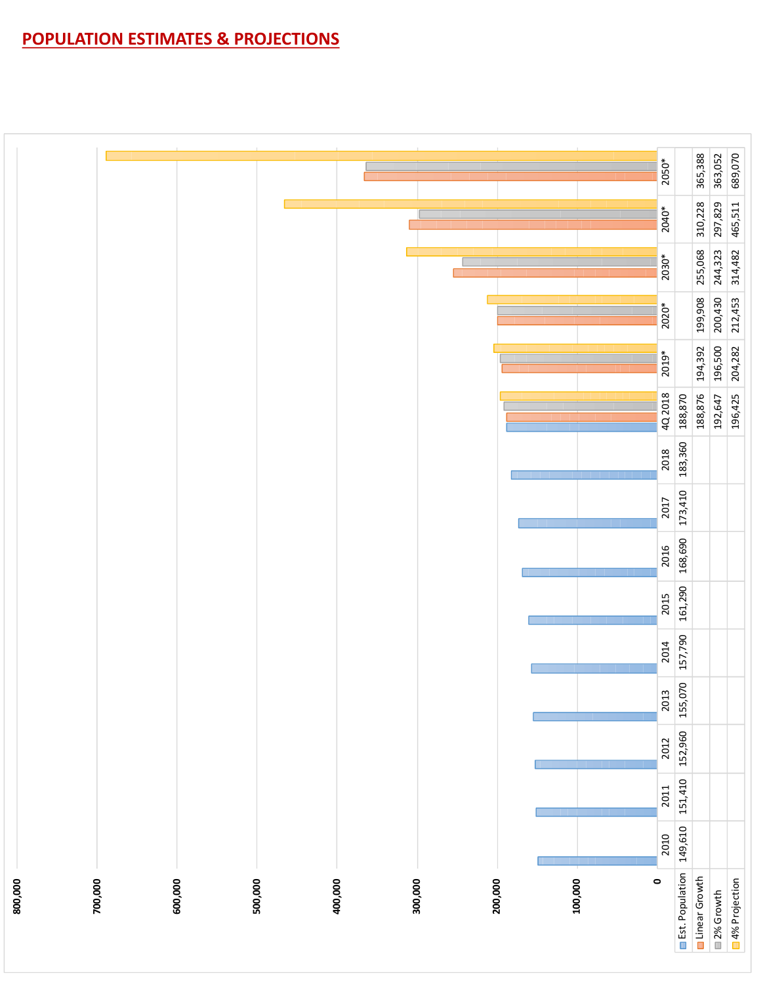# **POPULATION ESTIMATES & PROJECTIONS**